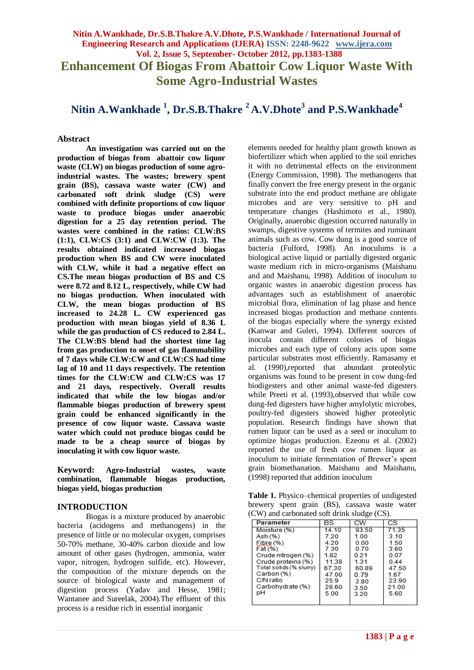## **Nitin A.Wankhade, Dr.S.B.Thakre A.V.Dhote, P.S.Wankhade / International Journal of Engineering Research and Applications (IJERA) ISSN: 2248-9622 www.ijera.com Vol. 2, Issue 5, September- October 2012, pp.1383-1388 Enhancement Of Biogas From Abattoir Cow Liquor Waste With Some Agro-Industrial Wastes**

# **Nitin A.Wankhade <sup>1</sup> , Dr.S.B.Thakre <sup>2</sup>A.V.Dhote<sup>3</sup> and P.S.Wankhade<sup>4</sup>**

**Abstract**

**An investigation was carried out on the production of biogas from abattoir cow liquor waste (CLW) on biogas production of some agroindustrial wastes. The wastes; brewery spent grain (BS), cassava waste water (CW) and carbonated soft drink sludge (CS) were combined with definite proportions of cow liquor waste to produce biogas under anaerobic digestion for a 25 day retention period. The wastes were combined in the ratios: CLW:BS (1:1), CLW:CS (3:1) and CLW:CW (1:3). The results obtained indicated increased biogas production when BS and CW were inoculated with CLW, while it had a negative effect on CS.The mean biogas production of BS and CS were 8.72 and 8.12 L, respectively, while CW had no biogas production. When inoculated with CLW, the mean biogas production of BS increased to 24.28 L. CW experienced gas production with mean biogas yield of 8.36 L while the gas production of CS reduced to 2.84 L. The CLW:BS blend had the shortest time lag from gas production to onset of gas flammability of 7 days while CLW:CW and CLW:CS had time lag of 10 and 11 days respectively. The retention times for the CLW:CW and CLW:CS was 17 and 21 days, respectively. Overall results indicated that while the low biogas and/or flammable biogas production of brewery spent grain could be enhanced significantly in the presence of cow liquor waste. Cassava waste water which could not produce biogas could be made to be a cheap source of biogas by inoculating it with cow liquor waste.**

**Keyword: Agro-Industrial wastes, waste combination, flammable biogas production, biogas yield, biogas production**

#### **INTRODUCTION**

Biogas is a mixture produced by anaerobic bacteria (acidogens and methanogens) in the presence of little or no molecular oxygen, comprises 50-70% methane, 30-40% carbon dioxide and low amount of other gases (hydrogen, ammonia, water vapor, nitrogen, hydrogen sulfide, etc). However, the composition of the mixture depends on the source of biological waste and management of digestion process (Yadav and Hesse, 1981; Wantanee and Sureelak, 2004).The effluent of this process is a residue rich in essential inorganic

elements needed for healthy plant growth known as biofertilizer which when applied to the soil enriches it with no detrimental effects on the environment (Energy Commission, 1998). The methanogens that finally convert the free energy present in the organic substrate into the end product methane are obligate microbes and are very sensitive to pH and temperature changes (Hashimoto et al., 1980). Originally, anaerobic digestion occurred naturally in swamps, digestive systems of termites and ruminant animals such as cow. Cow dung is a good source of bacteria (Fulford, 1998). An inoculums is a biological active liquid or partially digested organic waste medium rich in micro-organisms (Maishanu and and Maishanu, 1998). Addition of inoculum to organic wastes in anaerobic digestion process has advantages such as establishment of anaerobic microbial flora, elimination of lag phase and hence increased biogas production and methane contents of the biogas especially where the synergy existed (Kanwar and Guleri, 1994). Different sources of inocula contain different colonies of biogas microbes and each type of colony acts upon some particular substrates most efficiently. Ramasamy et al. (1990),reported that abundant proteolytic organisms was found to be present in cow dung-fed biodigesters and other animal waste-fed digesters while Preeti et al. (1993),observed that while cow dung-fed digesters have higher amylolytic microbes, poultry-fed digesters showed higher proteolytic population. Research findings have shown that rumen liquor can be used as a seed or inoculum to optimize biogas production. Ezeonu et al. (2002) reported the use of fresh cow rumen liquor as inoculum to initiate fermentation of Brewer's spent grain biomethanation. Maishanu and Maishanu, (1998) reported that addition inoculum

**Table 1.** Physico–chemical properties of undigested brewery spent grain (BS), cassava waste water (CW) and carbonated soft drink sludge (CS).

| <b>Parameter</b>        | BS    | сw    | СS    |
|-------------------------|-------|-------|-------|
| Moisture (%)            | 14.10 | 93.50 | 71.35 |
| Ash (%)                 | 7.20  | 1.00  | 3.10  |
| Fibre (%)               | 4.20  | 0.00  | 1.50  |
| Fat (%)                 | 7.30  | 0.70  | 3.60  |
| Crude nitrogen (%)      | 1.82  | 0.21  | 0.07  |
| Crude proteins (%)      | 1138  | 1.31  | 0.44  |
| Total solids (% slurry) | 67.30 | 60.89 | 47.50 |
| Carbon (%)              | 47.00 | 0.79  | 1.67  |
| C/N ratio               | 25.9  | 3.80  | 23.90 |
| Carbohydrate (%)        | 28.60 | 3.50  | 21.00 |
| pН                      | 5.00  | 3.20  | 5.60  |
|                         |       |       |       |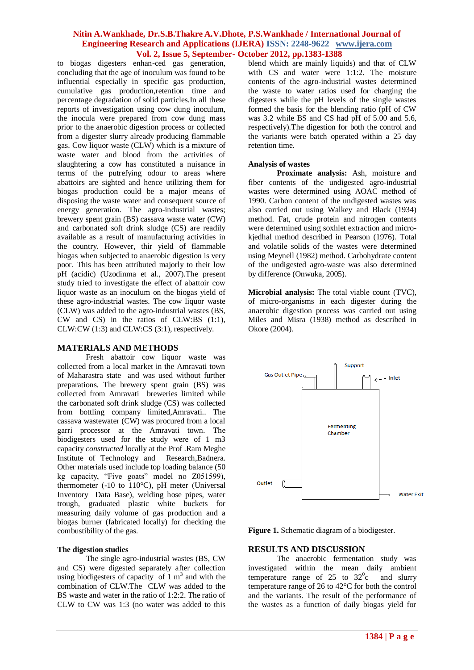to biogas digesters enhan-ced gas generation, concluding that the age of inoculum was found to be influential especially in specific gas production, cumulative gas production,retention time and percentage degradation of solid particles.In all these reports of investigation using cow dung inoculum, the inocula were prepared from cow dung mass prior to the anaerobic digestion process or collected from a digester slurry already producing flammable gas. Cow liquor waste (CLW) which is a mixture of waste water and blood from the activities of slaughtering a cow has constituted a nuisance in terms of the putrefying odour to areas where abattoirs are sighted and hence utilizing them for biogas production could be a major means of disposing the waste water and consequent source of energy generation. The agro-industrial wastes; brewery spent grain (BS) cassava waste water (CW) and carbonated soft drink sludge (CS) are readily available as a result of manufacturing activities in the country. However, thir yield of flammable biogas when subjected to anaerobic digestion is very poor. This has been attributed majorly to their low pH (acidic) (Uzodinma et al., 2007).The present study tried to investigate the effect of abattoir cow liquor waste as an inoculum on the biogas yield of these agro-industrial wastes. The cow liquor waste (CLW) was added to the agro-industrial wastes (BS, CW and CS) in the ratios of CLW:BS (1:1), CLW:CW (1:3) and CLW:CS (3:1), respectively.

#### **MATERIALS AND METHODS**

Fresh abattoir cow liquor waste was collected from a local market in the Amravati town of Maharastra state and was used without further preparations. The brewery spent grain (BS) was collected from Amravati breweries limited while the carbonated soft drink sludge (CS) was collected from bottling company limited,Amravati.. The cassava wastewater (CW) was procured from a local garri processor at the Amravati town. The biodigesters used for the study were of 1 m3 capacity *constructed* locally at the Prof .Ram Meghe Institute of Technology and Research,Badnera. Other materials used include top loading balance (50 kg capacity, "Five goats" model no Z051599), thermometer (-10 to 110°C), pH meter (Universal Inventory Data Base), welding hose pipes, water trough, graduated plastic white buckets for measuring daily volume of gas production and a biogas burner (fabricated locally) for checking the combustibility of the gas.

#### **The digestion studies**

The single agro-industrial wastes (BS, CW and CS) were digested separately after collection using biodigesters of capacity of  $1 \text{ m}^3$  and with the combination of CLW.The CLW was added to the BS waste and water in the ratio of 1:2:2. The ratio of CLW to CW was 1:3 (no water was added to this

blend which are mainly liquids) and that of CLW with CS and water were 1:1:2. The moisture contents of the agro-industrial wastes determined the waste to water ratios used for charging the digesters while the pH levels of the single wastes formed the basis for the blending ratio (pH of CW was 3.2 while BS and CS had pH of 5.00 and 5.6, respectively).The digestion for both the control and the variants were batch operated within a 25 day retention time.

#### **Analysis of wastes**

**Proximate analysis:** Ash, moisture and fiber contents of the undigested agro-industrial wastes were determined using AOAC method of 1990. Carbon content of the undigested wastes was also carried out using Walkey and Black (1934) method. Fat, crude protein and nitrogen contents were determined using soxhlet extraction and microkjedhal method described in Pearson (1976). Total and volatile solids of the wastes were determined using Meynell (1982) method. Carbohydrate content of the undigested agro-waste was also determined by difference (Onwuka, 2005).

**Microbial analysis:** The total viable count (TVC), of micro-organisms in each digester during the anaerobic digestion process was carried out using Miles and Misra (1938) method as described in Okore (2004).



**Figure 1.** Schematic diagram of a biodigester.

#### **RESULTS AND DISCUSSION**

The anaerobic fermentation study was investigated within the mean daily ambient temperature range of 25 to  $32^{\circ}$ c and slurry temperature range of 26 to 42°C for both the control and the variants. The result of the performance of the wastes as a function of daily biogas yield for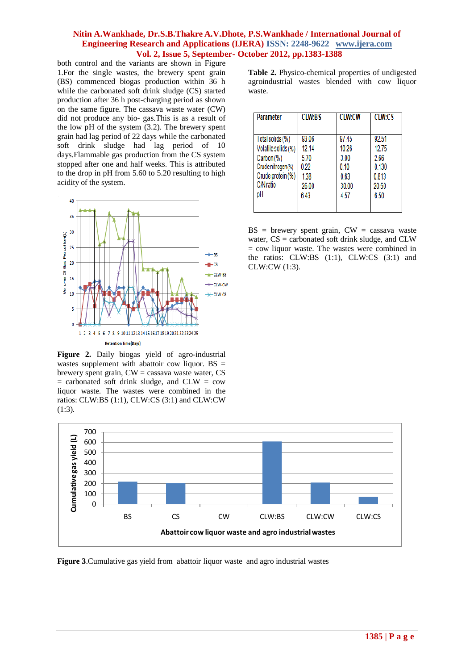both control and the variants are shown in Figure 1.For the single wastes, the brewery spent grain (BS) commenced biogas production within 36 h while the carbonated soft drink sludge (CS) started production after 36 h post-charging period as shown on the same figure. The cassava waste water (CW) did not produce any bio- gas.This is as a result of the low pH of the system (3.2). The brewery spent grain had lag period of 22 days while the carbonated soft drink sludge had lag period of 10 days.Flammable gas production from the CS system stopped after one and half weeks. This is attributed to the drop in pH from 5.60 to 5.20 resulting to high acidity of the system.



**Figure 2.** Daily biogas yield of agro-industrial wastes supplement with abattoir cow liquor.  $BS =$ brewery spent grain,  $CW =$  cassava waste water,  $CS$  $=$  carbonated soft drink sludge, and CLW  $=$  cow liquor waste. The wastes were combined in the ratios: CLW:BS (1:1), CLW:CS (3:1) and CLW:CW (1:3).

**Table 2.** Physico-chemical properties of undigested agroindustrial wastes blended with cow liquor waste.

| <b>Parameter</b>    | <b>CLW:BS</b> | <b>CLW:CW</b> | <b>CLW:CS</b> |
|---------------------|---------------|---------------|---------------|
| Total solids (%)    | 93.06         | 97.45         | 92.51         |
| Volatile solids (%) | 12.14         | 10.26         | 12.75         |
| Carbon (%)          | 5.70          | 3.00          | 2.66          |
| Crude nitrogen (%)  | 0.22          | 0.10          | 0.130         |
| Crude protein (%)   | 1.38          | 0.63          | 0.813         |
| C/N ratio           | 26.00         | 30.00         | 20.50         |
| рH                  | 6.43          | 4.57          | 6.50          |

 $BS =$  brewery spent grain,  $CW =$  cassava waste water, CS = carbonated soft drink sludge, and CLW  $=$  cow liquor waste. The wastes were combined in the ratios: CLW:BS (1:1), CLW:CS (3:1) and CLW:CW (1:3).



**Figure 3**.Cumulative gas yield from abattoir liquor waste and agro industrial wastes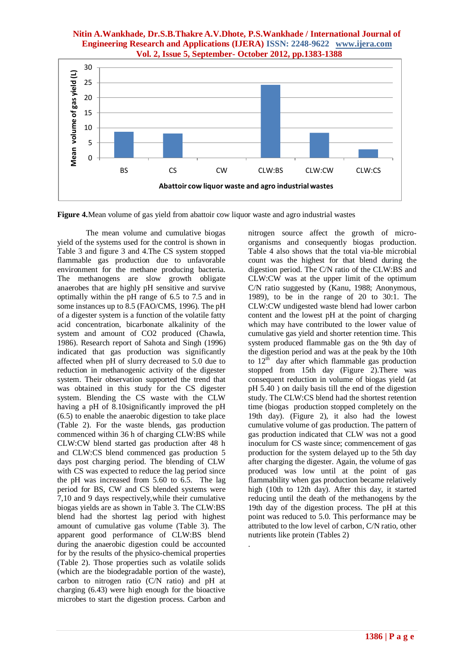

.

**Figure 4.**Mean volume of gas yield from abattoir cow liquor waste and agro industrial wastes

The mean volume and cumulative biogas yield of the systems used for the control is shown in Table 3 and figure 3 and 4.The CS system stopped flammable gas production due to unfavorable environment for the methane producing bacteria. The methanogens are slow growth obligate anaerobes that are highly pH sensitive and survive optimally within the pH range of 6.5 to 7.5 and in some instances up to 8.5 (FAO/CMS, 1996). The pH of a digester system is a function of the volatile fatty acid concentration, bicarbonate alkalinity of the system and amount of CO2 produced (Chawla, 1986). Research report of Sahota and Singh (1996) indicated that gas production was significantly affected when pH of slurry decreased to 5.0 due to reduction in methanogenic activity of the digester system. Their observation supported the trend that was obtained in this study for the CS digester system. Blending the CS waste with the CLW having a pH of 8.10significantly improved the pH (6.5) to enable the anaerobic digestion to take place (Table 2). For the waste blends, gas production commenced within 36 h of charging CLW:BS while CLW:CW blend started gas production after 48 h and CLW:CS blend commenced gas production 5 days post charging period. The blending of CLW with CS was expected to reduce the lag period since the pH was increased from 5.60 to 6.5. The lag period for BS, CW and CS blended systems were 7,10 and 9 days respectively,while their cumulative biogas yields are as shown in Table 3. The CLW:BS blend had the shortest lag period with highest amount of cumulative gas volume (Table 3). The apparent good performance of CLW:BS blend during the anaerobic digestion could be accounted for by the results of the physico-chemical properties (Table 2). Those properties such as volatile solids (which are the biodegradable portion of the waste), carbon to nitrogen ratio (C/N ratio) and pH at charging (6.43) were high enough for the bioactive microbes to start the digestion process. Carbon and nitrogen source affect the growth of microorganisms and consequently biogas production. Table 4 also shows that the total via-ble microbial count was the highest for that blend during the digestion period. The C/N ratio of the CLW:BS and CLW:CW was at the upper limit of the optimum C/N ratio suggested by (Kanu, 1988; Anonymous, 1989), to be in the range of 20 to 30:1. The CLW:CW undigested waste blend had lower carbon content and the lowest pH at the point of charging which may have contributed to the lower value of cumulative gas yield and shorter retention time. This system produced flammable gas on the 9th day of the digestion period and was at the peak by the 10th to  $12^{th}$  day after which flammable gas production stopped from 15th day (Figure 2). There was consequent reduction in volume of biogas yield (at pH 5.40 ) on daily basis till the end of the digestion study. The CLW:CS blend had the shortest retention time (biogas production stopped completely on the 19th day). (Figure 2), it also had the lowest cumulative volume of gas production. The pattern of gas production indicated that CLW was not a good inoculum for CS waste since; commencement of gas production for the system delayed up to the 5th day after charging the digester. Again, the volume of gas produced was low until at the point of gas flammability when gas production became relatively high (10th to 12th day). After this day, it started reducing until the death of the methanogens by the 19th day of the digestion process. The pH at this point was reduced to 5.0. This performance may be attributed to the low level of carbon, C/N ratio, other nutrients like protein (Tables 2)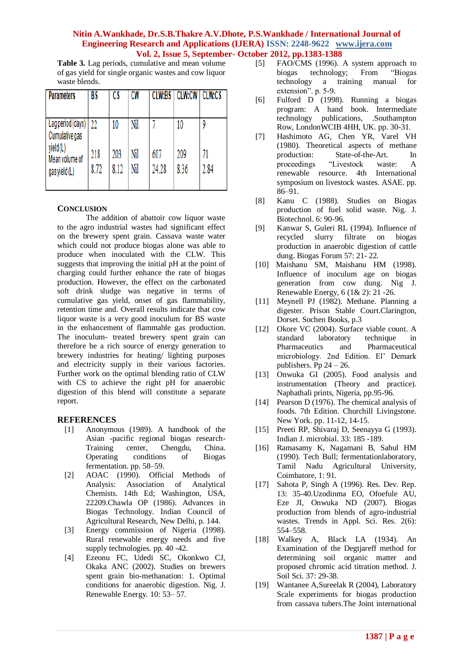**Table 3.** Lag periods, cumulative and mean volume of gas yield for single organic wastes and cow liquor waste blends.

| <b>Parameters</b>                           | BS          | CS          | <b>CW</b>  | <b>CLW:BS</b> | <b>CLW:CW</b> | <b>CLW:CS</b> |
|---------------------------------------------|-------------|-------------|------------|---------------|---------------|---------------|
| Lag period (days)<br>Cumulative gas         | $22 \,$     | 10          | Nil        |               | 10            | ٥             |
| yield(L)<br>Mean volume of<br>gas yield (L) | 218<br>8.72 | 203<br>8.12 | Nil<br>Nil | 607<br>24.28  | 209<br>8.36   | 71<br>2.84    |

## **CONCLUSION**

The addition of abattoir cow liquor waste to the agro industrial wastes had significant effect on the brewery spent grain. Cassava waste water which could not produce biogas alone was able to produce when inoculated with the CLW. This suggests that improving the initial pH at the point of charging could further enhance the rate of biogas production. However, the effect on the carbonated soft drink sludge was negative in terms of cumulative gas yield, onset of gas flammability, retention time and. Overall results indicate that cow liquor waste is a very good inoculum for BS waste in the enhancement of flammable gas production. The inoculum- treated brewery spent grain can therefore be a rich source of energy generation to brewery industries for heating/ lighting purposes and electricity supply in their various factories. Further work on the optimal blending ratio of CLW with CS to achieve the right pH for anaerobic digestion of this blend will constitute a separate report.

## **REFERENCES**

- [1] Anonymous (1989). A handbook of the Asian -pacific regional biogas research-Training center, Chengdu, China. Operating conditions of Biogas fermentation. pp. 58–59.
- [2] AOAC (1990). Official Methods of Analysis: Association of Analytical Chemists. 14th Ed; Washington, USA, 22209.Chawla OP (1986). Advances in Biogas Technology. Indian Council of Agricultural Research, New Delhi, p. 144.
- [3] Energy commission of Nigeria (1998). Rural renewable energy needs and five supply technologies. pp. 40 -42.
- [4] Ezeonu FC, Udedi SC, Okonkwo CJ, Okaka ANC (2002). Studies on brewers spent grain bio-methanation: 1. Optimal conditions for anaerobic digestion. Nig. J. Renewable Energy*.* 10: 53– 57.
- [5] FAO/CMS (1996). A system approach to biogas technology; From "Biogas technology a training manual for extension". p. 5-9.
- [6] Fulford D (1998). Running a biogas program: A hand book. Intermediate technology publications, .Southampton Row, LondonWCIB 4HH, UK. pp. 30-31.
- [7] Hashimoto AG, Chen YR, Varel VH (1980). Theoretical aspects of methane production: State-of-the-Art. In<br>proceedings "Livestock waste: A proceedings "Livestock waste: A renewable resource. 4th International symposium on livestock wastes. ASAE. pp. 86–91.
- [8] Kanu C (1988). Studies on Biogas production of fuel solid waste. Nig. J. Biotechnol. 6: 90-96.
- [9] Kanwar S, Guleri RL (1994). Influence of recycled slurry filtrate on biogas production in anaerobic digestion of cattle dung. Biogas Forum 57: 21- 22.
- [10] Maishanu SM, Maishanu HM (1998). Influence of inoculum age on biogas generation from cow dung. Nig J. Renewable Energy, 6 (1& 2): 21 -26.
- [11] Meynell PJ (1982). Methane. Planning a digester. Prison Stable Court.Clarington, Dorset. Sochen Books, p.3
- [12] Okore VC (2004). Surface viable count. A standard laboratory technique in Pharmaceutics and Pharmaceutical microbiology. 2nd Edition. El' Demark publishers. Pp  $24 - 26$ .
- [13] Onwuka GI (2005). Food analysis and instrumentation (Theory and practice). Naphathali prints, Nigeria, pp.95-96.
- [14] Pearson D (1976). The chemical analysis of foods. 7th Edition. Churchill Livingstone. New York. pp. 11-12, 14-15.
- [15] Preeti RP, Shivaraj D, Seenayya G (1993). Indian J. microbial. 33: 185 -189.
- [16] Ramasamy K, Nagamani B, Sahul HM (1990). Tech Bull; fermentationlaboratory, Tamil Nadu Agricultural University, Coimbatore, 1: 91.
- [17] Sahota P, Singh A (1996). Res. Dev. Rep. 13: 35-40.Uzodinma EO, Ofoefule AU, Eze JI, Onwuka ND (2007). Biogas production from blends of agro-industrial wastes. Trends in Appl. Sci. Res. 2(6): 554–558.
- [18] Walkey A, Black LA (1934). An Examination of the Degtjareff method for determining soil organic matter and proposed chromic acid titration method. J. Soil Sci. 37: 29-38.
- [19] Wantanee A,Sureelak R (2004), Laboratory Scale experiments for biogas production from cassava tubers.The Joint international